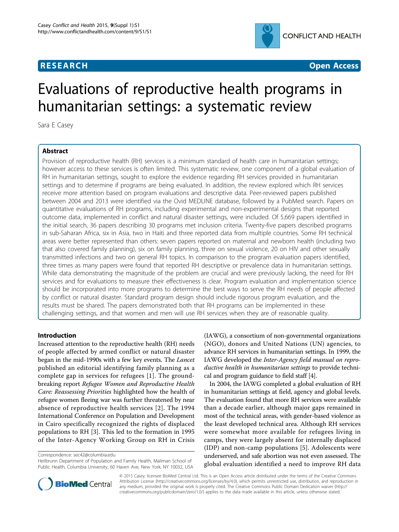

**RESEARCH CONTROL** CONTROL CONTROL CONTROL CONTROL CONTROL CONTROL CONTROL CONTROL CONTROL CONTROL CONTROL CONTROL CONTROL CONTROL CONTROL CONTROL CONTROL CONTROL CONTROL CONTROL CONTROL CONTROL CONTROL CONTROL CONTROL CON

# Evaluations of reproductive health programs in humanitarian settings: a systematic review

Sara E Casey

## Abstract

Provision of reproductive health (RH) services is a minimum standard of health care in humanitarian settings; however access to these services is often limited. This systematic review, one component of a global evaluation of RH in humanitarian settings, sought to explore the evidence regarding RH services provided in humanitarian settings and to determine if programs are being evaluated. In addition, the review explored which RH services receive more attention based on program evaluations and descriptive data. Peer-reviewed papers published between 2004 and 2013 were identified via the Ovid MEDLINE database, followed by a PubMed search. Papers on quantitative evaluations of RH programs, including experimental and non-experimental designs that reported outcome data, implemented in conflict and natural disaster settings, were included. Of 5,669 papers identified in the initial search, 36 papers describing 30 programs met inclusion criteria. Twenty-five papers described programs in sub-Saharan Africa, six in Asia, two in Haiti and three reported data from multiple countries. Some RH technical areas were better represented than others: seven papers reported on maternal and newborn health (including two that also covered family planning), six on family planning, three on sexual violence, 20 on HIV and other sexually transmitted infections and two on general RH topics. In comparison to the program evaluation papers identified, three times as many papers were found that reported RH descriptive or prevalence data in humanitarian settings. While data demonstrating the magnitude of the problem are crucial and were previously lacking, the need for RH services and for evaluations to measure their effectiveness is clear. Program evaluation and implementation science should be incorporated into more programs to determine the best ways to serve the RH needs of people affected by conflict or natural disaster. Standard program design should include rigorous program evaluation, and the results must be shared. The papers demonstrated both that RH programs can be implemented in these challenging settings, and that women and men will use RH services when they are of reasonable quality.

## Introduction

Increased attention to the reproductive health (RH) needs of people affected by armed conflict or natural disaster began in the mid-1990s with a few key events. The Lancet published an editorial identifying family planning as a complete gap in services for refugees [[1](#page-5-0)]. The groundbreaking report Refugee Women and Reproductive Health Care: Reassessing Priorities highlighted how the health of refugee women fleeing war was further threatened by near absence of reproductive health services [[2](#page-5-0)]. The 1994 International Conference on Population and Development in Cairo specifically recognized the rights of displaced populations to RH [[3\]](#page-5-0). This led to the formation in 1995 of the Inter-Agency Working Group on RH in Crisis

Correspondence: [sec42@columbia.edu](mailto:sec42@columbia.edu)

Heilbrunn Department of Population and Family Health, Mailman School of Public Health, Columbia University, 60 Haven Ave, New York, NY 10032, USA

(IAWG), a consortium of non-governmental organizations (NGO), donors and United Nations (UN) agencies, to advance RH services in humanitarian settings. In 1999, the IAWG developed the Inter-Agency field manual on reproductive health in humanitarian settings to provide technical and program guidance to field staff [[4](#page-5-0)].

In 2004, the IAWG completed a global evaluation of RH in humanitarian settings at field, agency and global levels. The evaluation found that more RH services were available than a decade earlier, although major gaps remained in most of the technical areas, with gender-based violence as the least developed technical area. Although RH services were somewhat more available for refugees living in camps, they were largely absent for internally displaced (IDP) and non-camp populations [\[5](#page-5-0)]. Adolescents were underserved, and safe abortion was not even assessed. The global evaluation identified a need to improve RH data



© 2015 Casey; licensee BioMed Central Ltd. This is an Open Access article distributed under the terms of the Creative Commons Attribution License [\(http://creativecommons.org/licenses/by/4.0](http://creativecommons.org/licenses/by/4.0)), which permits unrestricted use, distribution, and reproduction in any medium, provided the original work is properly cited. The Creative Commons Public Domain Dedication waiver [\(http://](http://creativecommons.org/publicdomain/zero/1.0/) [creativecommons.org/publicdomain/zero/1.0/](http://creativecommons.org/publicdomain/zero/1.0/)) applies to the data made available in this article, unless otherwise stated.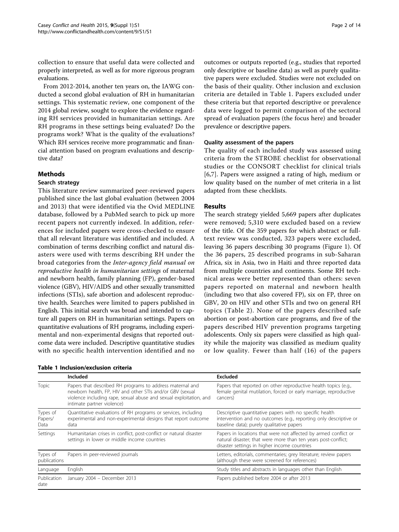collection to ensure that useful data were collected and properly interpreted, as well as for more rigorous program evaluations.

From 2012-2014, another ten years on, the IAWG conducted a second global evaluation of RH in humanitarian settings. This systematic review, one component of the 2014 global review, sought to explore the evidence regarding RH services provided in humanitarian settings. Are RH programs in these settings being evaluated? Do the programs work? What is the quality of the evaluations? Which RH services receive more programmatic and financial attention based on program evaluations and descriptive data?

## Methods

## Search strategy

This literature review summarized peer-reviewed papers published since the last global evaluation (between 2004 and 2013) that were identified via the Ovid MEDLINE database, followed by a PubMed search to pick up more recent papers not currently indexed. In addition, references for included papers were cross-checked to ensure that all relevant literature was identified and included. A combination of terms describing conflict and natural disasters were used with terms describing RH under the broad categories from the Inter-agency field manual on reproductive health in humanitarian settings of maternal and newborn health, family planning (FP), gender-based violence (GBV), HIV/AIDS and other sexually transmitted infections (STIs), safe abortion and adolescent reproductive health. Searches were limited to papers published in English. This initial search was broad and intended to capture all papers on RH in humanitarian settings. Papers on quantitative evaluations of RH programs, including experimental and non-experimental designs that reported outcome data were included. Descriptive quantitative studies with no specific health intervention identified and no

outcomes or outputs reported (e.g., studies that reported only descriptive or baseline data) as well as purely qualitative papers were excluded. Studies were not excluded on the basis of their quality. Other inclusion and exclusion criteria are detailed in Table 1. Papers excluded under these criteria but that reported descriptive or prevalence data were logged to permit comparison of the sectoral spread of evaluation papers (the focus here) and broader prevalence or descriptive papers.

## Quality assessment of the papers

The quality of each included study was assessed using criteria from the STROBE checklist for observational studies or the CONSORT checklist for clinical trials [[6,7](#page-5-0)]. Papers were assigned a rating of high, medium or low quality based on the number of met criteria in a list adapted from these checklists.

## Results

The search strategy yielded 5,669 papers after duplicates were removed; 5,310 were excluded based on a review of the title. Of the 359 papers for which abstract or fulltext review was conducted, 323 papers were excluded, leaving 36 papers describing 30 programs (Figure [1](#page-2-0)). Of the 36 papers, 25 described programs in sub-Saharan Africa, six in Asia, two in Haiti and three reported data from multiple countries and continents. Some RH technical areas were better represented than others: seven papers reported on maternal and newborn health (including two that also covered FP), six on FP, three on GBV, 20 on HIV and other STIs and two on general RH topics (Table [2](#page-2-0)). None of the papers described safe abortion or post-abortion care programs, and five of the papers described HIV prevention programs targeting adolescents. Only six papers were classified as high quality while the majority was classified as medium quality or low quality. Fewer than half (16) of the papers

|                             | Included                                                                                                                                                                                                                   | Excluded                                                                                                                                                                          |
|-----------------------------|----------------------------------------------------------------------------------------------------------------------------------------------------------------------------------------------------------------------------|-----------------------------------------------------------------------------------------------------------------------------------------------------------------------------------|
| Topic                       | Papers that described RH programs to address maternal and<br>newborn health, FP, HIV and other STIs and/or GBV (sexual<br>violence including rape, sexual abuse and sexual exploitation, and<br>intimate partner violence) | Papers that reported on other reproductive health topics (e.g.,<br>female genital mutilation, forced or early marriage, reproductive<br>cancers)                                  |
| Types of<br>Papers/<br>Data | Quantitative evaluations of RH programs or services, including<br>experimental and non-experimental designs that report outcome<br>data                                                                                    | Descriptive quantitative papers with no specific health<br>intervention and no outcomes (e.g., reporting only descriptive or<br>baseline data); purely qualitative papers         |
| Settings                    | Humanitarian crises in conflict, post-conflict or natural disaster<br>settings in lower or middle income countries                                                                                                         | Papers in locations that were not affected by armed conflict or<br>natural disaster; that were more than ten years post-conflict;<br>disaster settings in higher income countries |
| Types of<br>publications    | Papers in peer-reviewed journals                                                                                                                                                                                           | Letters, editorials, commentaries; grey literature; review papers<br>(although these were screened for references)                                                                |
| Language                    | English                                                                                                                                                                                                                    | Study titles and abstracts in languages other than English                                                                                                                        |
| Publication<br>date         | January 2004 - December 2013                                                                                                                                                                                               | Papers published before 2004 or after 2013                                                                                                                                        |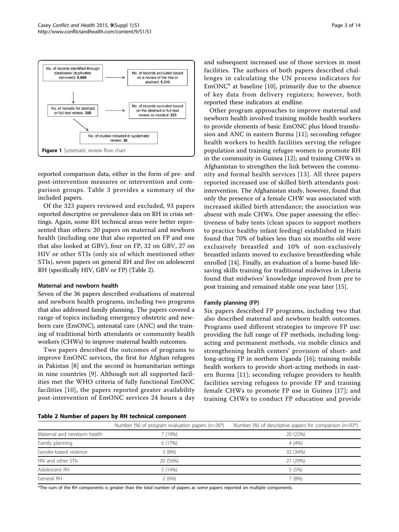<span id="page-2-0"></span>

reported comparison data, either in the form of pre- and post-intervention measures or intervention and comparison groups. Table [3](#page-8-0) provides a summary of the included papers.

Of the 323 papers reviewed and excluded, 93 papers reported descriptive or prevalence data on RH in crisis settings. Again, some RH technical areas were better represented than others: 20 papers on maternal and newborn health (including one that also reported on FP and one that also looked at GBV), four on FP, 32 on GBV, 27 on HIV or other STIs (only six of which mentioned other STIs), seven papers on general RH and five on adolescent RH (specifically HIV, GBV or FP) (Table 2).

### Maternal and newborn health

Seven of the 36 papers described evaluations of maternal and newborn health programs, including two programs that also addressed family planning. The papers covered a range of topics including emergency obstetric and newborn care (EmONC), antenatal care (ANC) and the training of traditional birth attendants or community health workers (CHWs) to improve maternal health outcomes.

Two papers described the outcomes of programs to improve EmONC services, the first for Afghan refugees in Pakistan [[8\]](#page-5-0) and the second in humanitarian settings in nine countries [[9\]](#page-5-0). Although not all supported facilities met the WHO criteria of fully functional EmONC facilities [[10](#page-5-0)], the papers reported greater availability post-intervention of EmONC services 24 hours a day and subsequent increased use of those services in most facilities. The authors of both papers described challenges in calculating the UN process indicators for  $EmONC<sup>a</sup>$  at baseline [[10\]](#page-5-0), primarily due to the absence of key data from delivery registers; however, both reported these indicators at endline.

Other program approaches to improve maternal and newborn health involved training mobile health workers to provide elements of basic EmONC plus blood transfusion and ANC in eastern Burma [[11](#page-5-0)]; seconding refugee health workers to health facilities serving the refugee population and training refugee women to promote RH in the community in Guinea [\[12](#page-6-0)]; and training CHWs in Afghanistan to strengthen the link between the community and formal health services [[13\]](#page-6-0). All three papers reported increased use of skilled birth attendants postintervention. The Afghanistan study, however, found that only the presence of a female CHW was associated with increased skilled birth attendance; the association was absent with male CHWs. One paper assessing the effectiveness of baby tents (clean spaces to support mothers to practice healthy infant feeding) established in Haiti found that 70% of babies less than six months old were exclusively breastfed and 10% of non-exclusively breastfed infants moved to exclusive breastfeeding while enrolled [\[14](#page-6-0)]. Finally, an evaluation of a home-based lifesaving skills training for traditional midwives in Liberia found that midwives' knowledge improved from pre to post training and remained stable one year later [[15](#page-6-0)].

#### Family planning (FP)

Six papers described FP programs, including two that also described maternal and newborn health outcomes. Programs used different strategies to improve FP use: providing the full range of FP methods, including longacting and permanent methods, via mobile clinics and strengthening health centers' provision of short- and long-acting FP in northern Uganda [[16\]](#page-6-0); training mobile health workers to provide short-acting methods in eastern Burma [\[11](#page-5-0)]; seconding refugee providers to health facilities serving refugees to provide FP and training female CHWs to promote FP use in Guinea [\[17\]](#page-6-0); and training CHWs to conduct FP education and provide

| Table 2 Number of papers by RH technical component |  |  |  |  |  |  |  |  |  |
|----------------------------------------------------|--|--|--|--|--|--|--|--|--|
|----------------------------------------------------|--|--|--|--|--|--|--|--|--|

|                             | Number $%$ of program evaluation papers (n=36*) | Number (%) of descriptive papers for comparison (n=93*) |
|-----------------------------|-------------------------------------------------|---------------------------------------------------------|
| Maternal and newborn health | 7 (19%)                                         | 20 (22%)                                                |
| Family planning             | 6(17%)                                          | 4(4%)                                                   |
| Gender-based violence       | 3(8%)                                           | 32 (34%)                                                |
| HIV and other STIs          | 20 (56%)                                        | 27 (29%)                                                |
| Adolescent RH               | 5(14%)                                          | 5 (5%)                                                  |
| General RH                  | 2(6%)                                           | 7(8%)                                                   |

\*The sum of the RH components is greater than the total number of papers as some papers reported on multiple components.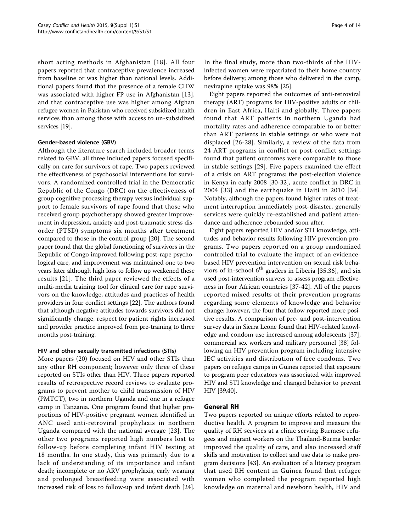short acting methods in Afghanistan [[18](#page-6-0)]. All four papers reported that contraceptive prevalence increased from baseline or was higher than national levels. Additional papers found that the presence of a female CHW was associated with higher FP use in Afghanistan [[13](#page-6-0)], and that contraceptive use was higher among Afghan refugee women in Pakistan who received subsidized health services than among those with access to un-subsidized services [\[19\]](#page-6-0).

## Gender-based violence (GBV)

Although the literature search included broader terms related to GBV, all three included papers focused specifically on care for survivors of rape. Two papers reviewed the effectiveness of psychosocial interventions for survivors. A randomized controlled trial in the Democratic Republic of the Congo (DRC) on the effectiveness of group cognitive processing therapy versus individual support to female survivors of rape found that those who received group psychotherapy showed greater improvement in depression, anxiety and post-traumatic stress disorder (PTSD) symptoms six months after treatment compared to those in the control group [\[20\]](#page-6-0). The second paper found that the global functioning of survivors in the Republic of Congo improved following post-rape psychological care, and improvement was maintained one to two years later although high loss to follow up weakened these results [[21\]](#page-6-0). The third paper reviewed the effects of a multi-media training tool for clinical care for rape survivors on the knowledge, attitudes and practices of health providers in four conflict settings [[22\]](#page-6-0). The authors found that although negative attitudes towards survivors did not significantly change, respect for patient rights increased and provider practice improved from pre-training to three months post-training.

## HIV and other sexually transmitted infections (STIs)

More papers (20) focused on HIV and other STIs than any other RH component; however only three of these reported on STIs other than HIV. Three papers reported results of retrospective record reviews to evaluate programs to prevent mother to child transmission of HIV (PMTCT), two in northern Uganda and one in a refugee camp in Tanzania. One program found that higher proportions of HIV-positive pregnant women identified in ANC used anti-retroviral prophylaxis in northern Uganda compared with the national average [\[23\]](#page-6-0). The other two programs reported high numbers lost to follow-up before completing infant HIV testing at 18 months. In one study, this was primarily due to a lack of understanding of its importance and infant death; incomplete or no ARV prophylaxis, early weaning and prolonged breastfeeding were associated with increased risk of loss to follow-up and infant death [\[24](#page-6-0)]. In the final study, more than two-thirds of the HIVinfected women were repatriated to their home country before delivery; among those who delivered in the camp, nevirapine uptake was 98% [[25\]](#page-6-0).

Eight papers reported the outcomes of anti-retroviral therapy (ART) programs for HIV-positive adults or children in East Africa, Haiti and globally. Three papers found that ART patients in northern Uganda had mortality rates and adherence comparable to or better than ART patients in stable settings or who were not displaced [[26-28](#page-6-0)]. Similarly, a review of the data from 24 ART programs in conflict or post-conflict settings found that patient outcomes were comparable to those in stable settings [[29\]](#page-6-0). Five papers examined the effect of a crisis on ART programs: the post-election violence in Kenya in early 2008 [[30-32](#page-6-0)], acute conflict in DRC in 2004 [[33](#page-6-0)] and the earthquake in Haiti in 2010 [[34\]](#page-6-0). Notably, although the papers found higher rates of treatment interruption immediately post-disaster, generally services were quickly re-established and patient attendance and adherence rebounded soon after.

Eight papers reported HIV and/or STI knowledge, attitudes and behavior results following HIV prevention programs. Two papers reported on a group randomized controlled trial to evaluate the impact of an evidencebased HIV prevention intervention on sexual risk behaviors of in-school  $6<sup>th</sup>$  graders in Liberia [\[35,36\]](#page-6-0), and six used post-intervention surveys to assess program effectiveness in four African countries [\[37](#page-6-0)-[42](#page-6-0)]. All of the papers reported mixed results of their prevention programs regarding some elements of knowledge and behavior change; however, the four that follow reported more positive results. A comparison of pre- and post-intervention survey data in Sierra Leone found that HIV-related knowledge and condom use increased among adolescents [\[37](#page-6-0)], commercial sex workers and military personnel [[38](#page-6-0)] following an HIV prevention program including intensive IEC activities and distribution of free condoms. Two papers on refugee camps in Guinea reported that exposure to program peer educators was associated with improved HIV and STI knowledge and changed behavior to prevent HIV [[39,40\]](#page-6-0).

## General RH

Two papers reported on unique efforts related to reproductive health. A program to improve and measure the quality of RH services at a clinic serving Burmese refugees and migrant workers on the Thailand-Burma border improved the quality of care, and also increased staff skills and motivation to collect and use data to make program decisions [[43\]](#page-6-0). An evaluation of a literacy program that used RH content in Guinea found that refugee women who completed the program reported high knowledge on maternal and newborn health, HIV and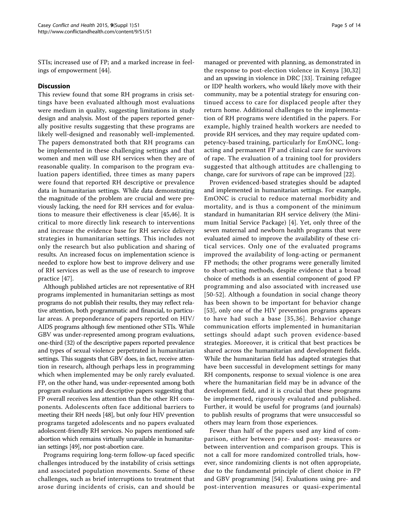STIs; increased use of FP; and a marked increase in feelings of empowerment [\[44\]](#page-6-0).

## **Discussion**

This review found that some RH programs in crisis settings have been evaluated although most evaluations were medium in quality, suggesting limitations in study design and analysis. Most of the papers reported generally positive results suggesting that these programs are likely well-designed and reasonably well-implemented. The papers demonstrated both that RH programs can be implemented in these challenging settings and that women and men will use RH services when they are of reasonable quality. In comparison to the program evaluation papers identified, three times as many papers were found that reported RH descriptive or prevalence data in humanitarian settings. While data demonstrating the magnitude of the problem are crucial and were previously lacking, the need for RH services and for evaluations to measure their effectiveness is clear [\[45](#page-6-0),[46](#page-6-0)]. It is critical to more directly link research to interventions and increase the evidence base for RH service delivery strategies in humanitarian settings. This includes not only the research but also publication and sharing of results. An increased focus on implementation science is needed to explore how best to improve delivery and use of RH services as well as the use of research to improve practice [\[47\]](#page-6-0).

Although published articles are not representative of RH programs implemented in humanitarian settings as most programs do not publish their results, they may reflect relative attention, both programmatic and financial, to particular areas. A preponderance of papers reported on HIV/ AIDS programs although few mentioned other STIs. While GBV was under-represented among program evaluations, one-third (32) of the descriptive papers reported prevalence and types of sexual violence perpetrated in humanitarian settings. This suggests that GBV does, in fact, receive attention in research, although perhaps less in programming which when implemented may be only rarely evaluated. FP, on the other hand, was under-represented among both program evaluations and descriptive papers suggesting that FP overall receives less attention than the other RH components. Adolescents often face additional barriers to meeting their RH needs [\[48\]](#page-6-0), but only four HIV prevention programs targeted adolescents and no papers evaluated adolescent-friendly RH services. No papers mentioned safe abortion which remains virtually unavailable in humanitarian settings [[49](#page-6-0)], nor post-abortion care.

Programs requiring long-term follow-up faced specific challenges introduced by the instability of crisis settings and associated population movements. Some of these challenges, such as brief interruptions to treatment that arose during incidents of crisis, can and should be managed or prevented with planning, as demonstrated in the response to post-election violence in Kenya [[30,32](#page-6-0)] and an upswing in violence in DRC [[33](#page-6-0)]. Training refugee or IDP health workers, who would likely move with their community, may be a potential strategy for ensuring continued access to care for displaced people after they return home. Additional challenges to the implementation of RH programs were identified in the papers. For example, highly trained health workers are needed to provide RH services, and they may require updated competency-based training, particularly for EmONC, longacting and permanent FP and clinical care for survivors of rape. The evaluation of a training tool for providers suggested that although attitudes are challenging to change, care for survivors of rape can be improved [[22\]](#page-6-0).

Proven evidenced-based strategies should be adapted and implemented in humanitarian settings. For example, EmONC is crucial to reduce maternal morbidity and mortality, and is thus a component of the minimum standard in humanitarian RH service delivery (the Minimum Initial Service Package) [\[4](#page-5-0)]. Yet, only three of the seven maternal and newborn health programs that were evaluated aimed to improve the availability of these critical services. Only one of the evaluated programs improved the availability of long-acting or permanent FP methods; the other programs were generally limited to short-acting methods, despite evidence that a broad choice of methods is an essential component of good FP programming and also associated with increased use [[50](#page-6-0)-[52\]](#page-7-0). Although a foundation in social change theory has been shown to be important for behavior change [[53\]](#page-7-0), only one of the HIV prevention programs appears to have had such a base [[35,36](#page-6-0)]. Behavior change communication efforts implemented in humanitarian settings should adapt such proven evidence-based strategies. Moreover, it is critical that best practices be shared across the humanitarian and development fields. While the humanitarian field has adapted strategies that have been successful in development settings for many RH components, response to sexual violence is one area where the humanitarian field may be in advance of the development field, and it is crucial that these programs be implemented, rigorously evaluated and published. Further, it would be useful for programs (and journals) to publish results of programs that were unsuccessful so others may learn from those experiences.

Fewer than half of the papers used any kind of comparison, either between pre- and post- measures or between intervention and comparison groups. This is not a call for more randomized controlled trials, however, since randomizing clients is not often appropriate, due to the fundamental principle of client choice in FP and GBV programming [[54\]](#page-7-0). Evaluations using pre- and post-intervention measures or quasi-experimental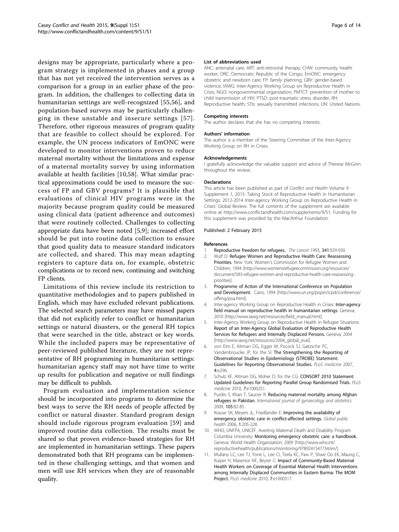<span id="page-5-0"></span>designs may be appropriate, particularly where a program strategy is implemented in phases and a group that has not yet received the intervention serves as a comparison for a group in an earlier phase of the program. In addition, the challenges to collecting data in humanitarian settings are well-recognized [\[55,56](#page-7-0)], and population-based surveys may be particularly challenging in these unstable and insecure settings [[57\]](#page-7-0). Therefore, other rigorous measures of program quality that are feasible to collect should be explored. For example, the UN process indicators of EmONC were developed to monitor interventions proven to reduce maternal mortality without the limitations and expense of a maternal mortality survey by using information available at health facilities [10,[58\]](#page-7-0). What similar practical approximations could be used to measure the success of FP and GBV programs? It is plausible that evaluations of clinical HIV programs were in the majority because program quality could be measured using clinical data (patient adherence and outcomes) that were routinely collected. Challenges to collecting appropriate data have been noted [5,9]; increased effort should be put into routine data collection to ensure that good quality data to measure standard indicators are collected, and shared. This may mean adapting registers to capture data on, for example, obstetric complications or to record new, continuing and switching FP clients.

Limitations of this review include its restriction to quantitative methodologies and to papers published in English, which may have excluded relevant publications. The selected search parameters may have missed papers that did not explicitly refer to conflict or humanitarian settings or natural disasters, or the general RH topics that were searched in the title, abstract or key words. While the included papers may be representative of peer-reviewed published literature, they are not representative of RH programming in humanitarian settings: humanitarian agency staff may not have time to write up results for publication and negative or null findings may be difficult to publish.

Program evaluation and implementation science should be incorporated into programs to determine the best ways to serve the RH needs of people affected by conflict or natural disaster. Standard program design should include rigorous program evaluation [\[59\]](#page-7-0) and improved routine data collection. The results must be shared so that proven evidence-based strategies for RH are implemented in humanitarian settings. These papers demonstrated both that RH programs can be implemented in these challenging settings, and that women and men will use RH services when they are of reasonable quality.

#### List of abbreviations used

ANC: antenatal care; ART: anti-retroviral therapy; CHW: community health worker; DRC: Democratic Republic of the Congo; EmONC: emergency obstetric and newborn care; FP: family planning; GBV: gender-based violence; IAWG: Inter-Agency Working Group on Reproductive Health in Crisis; NGO: nongovernmental organization; PMTCT: prevention of mother to child transmission of HIV; PTSD: post-traumatic stress disorder; RH: Reproductive health; STIs: sexually transmitted infections; UN: United Nations.

#### Competing interests

The author declares that she has no competing interests.

#### Authors' information

The author is a member of the Steering Committee of the Inter-Agency Working Group on RH in Crises.

#### Acknowledgements

I gratefully acknowledge the valuable support and advice of Therese McGinn throughout the review.

#### Declarations

This article has been published as part of Conflict and Health Volume 9 Supplement 1, 2015: Taking Stock of Reproductive Health in Humanitarian Settings: 2012-2014 Inter-agency Working Group on Reproductive Health in Crises' Global Review. The full contents of the supplement are available online at [http://www.conflictandhealth.com/supplements/9/S1.](http://www.conflictandhealth.com/supplements/9/S1) Funding for this supplement was provided by the MacArthur Foundation.

#### Published: 2 February 2015

#### References

- Reproductive freedom for refugees. The Lancet 1993, 341:929-930.
- 2. Wulf D: Refugee Women and Reproductive Health Care: Reassessing Priorities. New York: Women's Commission for Refugee Women and Children; 1994 [[http://www.womensrefugeecommission.org/resources/](http://www.womensrefugeecommission.org/resources/document/583-refugee-women-and-reproductive-health-care-reassessing-priorities) [document/583-refugee-women-and-reproductive-health-care-reassessing](http://www.womensrefugeecommission.org/resources/document/583-refugee-women-and-reproductive-health-care-reassessing-priorities)[priorities\]](http://www.womensrefugeecommission.org/resources/document/583-refugee-women-and-reproductive-health-care-reassessing-priorities).
- 3. Programme of Action of the International Conference on Population and Development. Cairo; 1994 [\[http://www.un.org/popin/icpd/conference/](http://www.un.org/popin/icpd/conference/offeng/poa.html) [offeng/poa.html\]](http://www.un.org/popin/icpd/conference/offeng/poa.html).
- 4. Inter-agency Working Group on Reproductive Health in Crises: Inter-agency field manual on reproductive health in humanitarian settings. Geneva; 2010 [\[http://www.iawg.net/resources/field\\_manual.html\]](http://www.iawg.net/resources/field_manual.html).
- 5. Inter-Agency Working Group on Reproductive Health in Refugee Situations: Report of an Inter-Agency Global Evaluation of Reproductive Health Services for Refugees and Internally Displaced Persons. Geneva; 2004 [[http://www.iawg.net/resources/2004\\_global\\_eval](http://www.iawg.net/resources/2004_global_eval)].
- 6. von Elm E, Altman DG, Egger M, Pocock SJ, Gøtzsche PC, Vandenbroucke JP, for the SI: [The Strengthening the Reporting of](http://www.ncbi.nlm.nih.gov/pubmed/17941714?dopt=Abstract) [Observational Studies in Epidemiology \(STROBE\) Statement:](http://www.ncbi.nlm.nih.gov/pubmed/17941714?dopt=Abstract) [Guidelines for Reporting Observational Studies.](http://www.ncbi.nlm.nih.gov/pubmed/17941714?dopt=Abstract) PLoS medicine 2007, 4:e296.
- 7. Schulz KF, Altman DG, Moher D, for the CG: [CONSORT 2010 Statement:](http://www.ncbi.nlm.nih.gov/pubmed/20352064?dopt=Abstract) [Updated Guidelines for Reporting Parallel Group Randomised Trials.](http://www.ncbi.nlm.nih.gov/pubmed/20352064?dopt=Abstract) PLoS medicine 2010, 7:e1000251.
- 8. Purdin S, Khan T, Saucier R: [Reducing maternal mortality among Afghan](http://www.ncbi.nlm.nih.gov/pubmed/19232603?dopt=Abstract) [refugees in Pakistan.](http://www.ncbi.nlm.nih.gov/pubmed/19232603?dopt=Abstract) International journal of gynaecology and obstetrics 2009, 105:82-85.
- 9. Krause SK, Meyers JL, Friedlander E: [Improving the availability of](http://www.ncbi.nlm.nih.gov/pubmed/19153908?dopt=Abstract) [emergency obstetric care in conflict-affected settings.](http://www.ncbi.nlm.nih.gov/pubmed/19153908?dopt=Abstract) Global public health 2006, 1:205-228.
- 10. WHO, UNFPA, UNICEF, Averting Maternal Death and Disability Program Columbia University: Monitoring emergency obstetric care: a handbook. Geneva: World Health Organization; 2009 [\[http://www.who.int/](http://www.who.int/reproductivehealth/publications/monitoring/9789241547734/en/) [reproductivehealth/publications/monitoring/9789241547734/en/](http://www.who.int/reproductivehealth/publications/monitoring/9789241547734/en/)].
- 11. Mullany LC, Lee TJ, Yone L, Lee CI, Teela KC, Paw P, Shwe Oo EK, Maung C, Kuiper H, Masenior NF, Beyrer C: [Impact of Community-Based Maternal](http://www.ncbi.nlm.nih.gov/pubmed/20689805?dopt=Abstract) [Health Workers on Coverage of Essential Maternal Health Interventions](http://www.ncbi.nlm.nih.gov/pubmed/20689805?dopt=Abstract) [among Internally Displaced Communities in Eastern Burma: The MOM](http://www.ncbi.nlm.nih.gov/pubmed/20689805?dopt=Abstract) [Project.](http://www.ncbi.nlm.nih.gov/pubmed/20689805?dopt=Abstract) PLoS medicine 2010, 7:e1000317.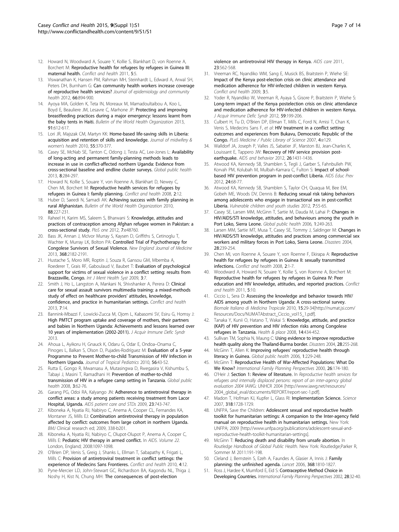- <span id="page-6-0"></span>12. Howard N, Woodward A, Souare Y, Kollie S, Blankhart D, von Roenne A, Borchert M: [Reproductive health for refugees by refugees in Guinea III:](http://www.ncbi.nlm.nih.gov/pubmed/21486433?dopt=Abstract) [maternal health.](http://www.ncbi.nlm.nih.gov/pubmed/21486433?dopt=Abstract) Conflict and health 2011, 5:5.
- 13. Viswanathan K, Hansen PM, Rahman MH, Steinhardt L, Edward A, Arwal SH, Peters DH, Burnham G: [Can community health workers increase coverage](http://www.ncbi.nlm.nih.gov/pubmed/22068027?dopt=Abstract) [of reproductive health services?](http://www.ncbi.nlm.nih.gov/pubmed/22068027?dopt=Abstract) Journal of epidemiology and community health 2012, 66:894-900.
- 14. Ayoya MA, Golden K, Teta IN, Moreaux M, Mamadoultaibou A, Koo L, Boyd E, Beauliere JM, Lesavre C, Marhone JP: [Protecting and improving](http://www.ncbi.nlm.nih.gov/pubmed/23940409?dopt=Abstract) [breastfeeding practices during a major emergency: lessons learnt from](http://www.ncbi.nlm.nih.gov/pubmed/23940409?dopt=Abstract) [the baby tents in Haiti.](http://www.ncbi.nlm.nih.gov/pubmed/23940409?dopt=Abstract) Bulletin of the World Health Organization 2013, 91:612-617.
- 15. Lori JR, Majszak CM, Martyn KK: [Home-based life-saving skills in Liberia:](http://www.ncbi.nlm.nih.gov/pubmed/20630364?dopt=Abstract) [acquisition and retention of skills and knowledge.](http://www.ncbi.nlm.nih.gov/pubmed/20630364?dopt=Abstract) Journal of midwifery & women's health 2010, 55:370-377.
- 16. Casey SE, McNab SE, Tanton C, Odong J, Testa AC, Lee-Jones L: [Availability](http://www.ncbi.nlm.nih.gov/pubmed/23305269?dopt=Abstract) [of long-acting and permanent family-planning methods leads to](http://www.ncbi.nlm.nih.gov/pubmed/23305269?dopt=Abstract) [increase in use in conflict-affected northern Uganda: Evidence from](http://www.ncbi.nlm.nih.gov/pubmed/23305269?dopt=Abstract) [cross-sectional baseline and endline cluster surveys.](http://www.ncbi.nlm.nih.gov/pubmed/23305269?dopt=Abstract) Global public health 2013, 8:284-297.
- 17. Howard N, Kollie S, Souare Y, von Roenne A, Blankhart D, Newey C, Chen MI, Borchert M: [Reproductive health services for refugees by](http://www.ncbi.nlm.nih.gov/pubmed/18925936?dopt=Abstract) [refugees in Guinea I: family planning.](http://www.ncbi.nlm.nih.gov/pubmed/18925936?dopt=Abstract) Conflict and health 2008, 2:12.
- 18. Huber D, Saeedi N, Samadi AK: [Achieving success with family planning in](http://www.ncbi.nlm.nih.gov/pubmed/20428392?dopt=Abstract) [rural Afghanistan.](http://www.ncbi.nlm.nih.gov/pubmed/20428392?dopt=Abstract) Bulletin of the World Health Organization 2010. 88:227-231.
- 19. Raheel H, Karim MS, Saleem S, Bharwani S: [Knowledge, attitudes and](http://www.ncbi.nlm.nih.gov/pubmed/23133658?dopt=Abstract) [practices of contraception among Afghan refugee women in Pakistan: a](http://www.ncbi.nlm.nih.gov/pubmed/23133658?dopt=Abstract) [cross-sectional study.](http://www.ncbi.nlm.nih.gov/pubmed/23133658?dopt=Abstract) PloS one 2012, 7:e48760.
- 20. Bass JK, Annan J, McIvor Murray S, Kaysen D, Griffiths S, Cetinoglu T, Wachter K, Murray LK, Bolton PA: [Controlled Trial of Psychotherapy for](http://www.ncbi.nlm.nih.gov/pubmed/23738545?dopt=Abstract) [Congolese Survivors of Sexual Violence.](http://www.ncbi.nlm.nih.gov/pubmed/23738545?dopt=Abstract) New England Journal of Medicine 2013, 368:2182-2191.
- 21. Hustache S, Moro MR, Roptin J, Souza R, Gansou GM, Mbemba A, Roederer T, Grais RF, Gaboulaud V, Baubet T: [Evaluation of psychological](http://www.ncbi.nlm.nih.gov/pubmed/19338671?dopt=Abstract) [support for victims of sexual violence in a conflict setting: results from](http://www.ncbi.nlm.nih.gov/pubmed/19338671?dopt=Abstract) [Brazzaville, Congo.](http://www.ncbi.nlm.nih.gov/pubmed/19338671?dopt=Abstract) Int J Ment Health Syst 2009, 3:7.
- 22. Smith J, Ho L, Langston A, Mankani N, Shivshanker A, Perera D: [Clinical](http://www.ncbi.nlm.nih.gov/pubmed/23819561?dopt=Abstract) [care for sexual assault survivors multimedia training: a mixed-methods](http://www.ncbi.nlm.nih.gov/pubmed/23819561?dopt=Abstract) [study of effect on healthcare providers](http://www.ncbi.nlm.nih.gov/pubmed/23819561?dopt=Abstract)' attitudes, knowledge, [confidence, and practice in humanitarian settings.](http://www.ncbi.nlm.nih.gov/pubmed/23819561?dopt=Abstract) Conflict and health 2013, 7:14.
- 23. Bannink-Mbazzi F, Lowicki-Zucca M, Ojom L, Kabasomi SV, Esiru G, Homsy J: [High PMTCT program uptake and coverage of mothers, their partners](http://www.ncbi.nlm.nih.gov/pubmed/23274930?dopt=Abstract) [and babies in Northern Uganda: Achievements and lessons learned over](http://www.ncbi.nlm.nih.gov/pubmed/23274930?dopt=Abstract) [10 years of implementation \(2002-2011\).](http://www.ncbi.nlm.nih.gov/pubmed/23274930?dopt=Abstract) J Acquir Immune Defic Syndr 2013.
- 24. Ahoua L, Ayikoru H, Gnauck K, Odaru G, Odar E, Ondoa–Onama C, Pinoges L, Balkan S, Olson D, Pujades-Rodríguez M: [Evaluation of a 5-year](http://www.ncbi.nlm.nih.gov/pubmed/19602489?dopt=Abstract) Programme to [Prevent Mother-to-child Transmission of HIV Infection in](http://www.ncbi.nlm.nih.gov/pubmed/19602489?dopt=Abstract) [Northern Uganda.](http://www.ncbi.nlm.nih.gov/pubmed/19602489?dopt=Abstract) Journal of Tropical Pediatrics 2010, 56:43-52.
- 25. Rutta E, Gongo R, Mwansasu A, Mutasingwa D, Rwegasira V, Kishumbu S, Tabayi J, Masini T, Ramadhani H: [Prevention of mother-to-child](http://www.ncbi.nlm.nih.gov/pubmed/19288360?dopt=Abstract) [transmission of HIV in a refugee camp setting in Tanzania.](http://www.ncbi.nlm.nih.gov/pubmed/19288360?dopt=Abstract) Global public health 2008, 3:62-76.
- 26. Garang PG, Odoi RA, Kalyango JN: [Adherence to antiretroviral therapy in](http://www.ncbi.nlm.nih.gov/pubmed/19645621?dopt=Abstract) [conflict areas: a study among patients receiving treatment from Lacor](http://www.ncbi.nlm.nih.gov/pubmed/19645621?dopt=Abstract) [Hospital, Uganda.](http://www.ncbi.nlm.nih.gov/pubmed/19645621?dopt=Abstract) AIDS patient care and STDs 2009, 23:743-747.
- 27. Kiboneka A, Nyatia RJ, Nabiryo C, Anema A, Cooper CL, Fernandes KA, Montaner JS, Mills EJ: [Combination antiretroviral therapy in population](http://www.ncbi.nlm.nih.gov/pubmed/19223338?dopt=Abstract) [affected by conflict: outcomes from large cohort in northern Uganda.](http://www.ncbi.nlm.nih.gov/pubmed/19223338?dopt=Abstract) BMJ Clinical research ed; 2009, 338-b201.
- 28. Kiboneka A, Nyatia RJ, Nabiryo C, Olupot-Olupot P, Anema A, Cooper C, Mills E: [Pediatric HIV therapy in armed conflict.](http://www.ncbi.nlm.nih.gov/pubmed/18520359?dopt=Abstract) In AIDS. Volume 22. London, England; 2008:1097-1098.
- 29. O'Brien DP, Venis S, Greig J, Shanks L, Ellman T, Sabapathy K, Frigati L, Mills C: [Provision of antiretroviral treatment in conflict settings: the](http://www.ncbi.nlm.nih.gov/pubmed/20553624?dopt=Abstract) [experience of Medecins Sans Frontieres.](http://www.ncbi.nlm.nih.gov/pubmed/20553624?dopt=Abstract) Conflict and health 2010, 4:12.
- 30. Pyne-Mercier LD, John-Stewart GC, Richardson BA, Kagondu NL, Thiga J, Noshy H, Kist N, Chung MH: [The consequences of post-election](http://www.ncbi.nlm.nih.gov/pubmed/21293984?dopt=Abstract)

Page 7 of 14

[violence on antiretroviral HIV therapy in Kenya.](http://www.ncbi.nlm.nih.gov/pubmed/21293984?dopt=Abstract) AIDS care 2011, 23:562-568.

- 31. Vreeman RC, Nyandiko WM, Sang E, Musick BS, Braitstein P, Wiehe SE: [Impact of the Kenya post-election crisis on clinic attendance and](http://www.ncbi.nlm.nih.gov/pubmed/19344523?dopt=Abstract) [medication adherence for HIV-infected children in western Kenya.](http://www.ncbi.nlm.nih.gov/pubmed/19344523?dopt=Abstract) Conflict and health 2009, 3:5.
- 32. Yoder R, Nyandiko W, Vreeman R, Ayaya S, Gisore P, Braitstein P, Wiehe S: [Long-term impact of the Kenya postelection crisis on clinic attendance](http://www.ncbi.nlm.nih.gov/pubmed/22027872?dopt=Abstract) [and medication adherence for HIV-infected children in western Kenya.](http://www.ncbi.nlm.nih.gov/pubmed/22027872?dopt=Abstract) J Acquir Immune Defic Syndr 2012, 59:199-206.
- 33. Culbert H, Tu D, O'Brien DP, Ellman T, Mills C, Ford N, Amisi T, Chan K, Venis S, Medecins Sans F, et al: [HIV treatment in a conflict setting:](http://www.ncbi.nlm.nih.gov/pubmed/17535100?dopt=Abstract) [outcomes and experiences from Bukavu, Democratic Republic of the](http://www.ncbi.nlm.nih.gov/pubmed/17535100?dopt=Abstract) [Congo.](http://www.ncbi.nlm.nih.gov/pubmed/17535100?dopt=Abstract) PLoS Medicine / Public Library of Science 2007, 4:e129.
- 34. Walldorf JA, Joseph P, Valles JS, Sabatier JF, Marston BJ, Jean-Charles K, Louissant E, Tappero JW: [Recovery of HIV service provision post](http://www.ncbi.nlm.nih.gov/pubmed/22382149?dopt=Abstract)[earthquake.](http://www.ncbi.nlm.nih.gov/pubmed/22382149?dopt=Abstract) AIDS and behavior 2012, 26:1431-1436.
- 35. Atwood KA, Kennedy SB, Shamblen S, Tegli J, Garber S, Fahnbulleh PW, Korvah PM, Kolubah M, Mulbah-Kamara C, Fulton S: [Impact of school](http://www.ncbi.nlm.nih.gov/pubmed/22339146?dopt=Abstract)[based HIV prevention program in post-conflict Liberia.](http://www.ncbi.nlm.nih.gov/pubmed/22339146?dopt=Abstract) AIDS Educ Prev 2012, 24:68-77.
- 36. Atwood KA, Kennedy SB, Shamblen S, Taylor CH, Quaqua M, Bee EM, Gobeh ME, Woods DV, Dennis B: [Reducing sexual risk taking behaviors](http://www.ncbi.nlm.nih.gov/pubmed/23626654?dopt=Abstract) [among adolescents who engage in transactional sex in post-conflict](http://www.ncbi.nlm.nih.gov/pubmed/23626654?dopt=Abstract) [Liberia.](http://www.ncbi.nlm.nih.gov/pubmed/23626654?dopt=Abstract) Vulnerable children and youth studies 2012, 7:55-65.
- 37. Casey SE, Larsen MM, McGinn T, Sartie M, Dauda M, Lahai P: [Changes](http://www.ncbi.nlm.nih.gov/pubmed/19153910?dopt=Abstract) in HIV/AIDS/STI [knowledge, attitudes, and behaviours among the youth in](http://www.ncbi.nlm.nih.gov/pubmed/19153910?dopt=Abstract) [Port Loko, Sierra Leone.](http://www.ncbi.nlm.nih.gov/pubmed/19153910?dopt=Abstract) Global public health 2006, 1:249-263.
- Larsen MM, Sartie MT, Musa T, Casey SE, Tommy J, Saldinger M: [Changes in](http://www.ncbi.nlm.nih.gov/pubmed/15344939?dopt=Abstract) [HIV/AIDS/STI knowledge, attitudes and practices among commercial sex](http://www.ncbi.nlm.nih.gov/pubmed/15344939?dopt=Abstract) [workers and military forces in Port Loko, Sierra Leone.](http://www.ncbi.nlm.nih.gov/pubmed/15344939?dopt=Abstract) Disasters 2004, 28:239-254.
- 39. Chen MI, von Roenne A, Souare Y, von Roenne F, Ekirapa A: [Reproductive](http://www.ncbi.nlm.nih.gov/pubmed/18947393?dopt=Abstract) [health for refugees by refugees in Guinea II: sexually transmitted](http://www.ncbi.nlm.nih.gov/pubmed/18947393?dopt=Abstract) [infections.](http://www.ncbi.nlm.nih.gov/pubmed/18947393?dopt=Abstract) Conflict and health 2008, 2:1-7.
- 40. Woodward A, Howard N, Souare Y, Kollie S, von Roenne A, Borchert M: [Reproductive health for refugees by refugees in Guinea IV: Peer](http://www.ncbi.nlm.nih.gov/pubmed/21722361?dopt=Abstract) [education and HIV knowledge, attitudes, and reported practices.](http://www.ncbi.nlm.nih.gov/pubmed/21722361?dopt=Abstract) Conflict and health 2011, 5:10.
- 41. Ciccio L, Sera D: Assessing the knowledge and behavior towards HIV/ AIDS among youth in Northern Uganda: A cross-sectional survey. Biornale Italiano di Medicina Tropicale 2010, 15:29-34[\[http://numat.jsi.com/](http://numat.jsi.com/Resources/Docs/NUMATAbstract_Ciccio_vol15_1.pdf) [Resources/Docs/NUMATAbstract\\_Ciccio\\_vol15\\_1.pdf\]](http://numat.jsi.com/Resources/Docs/NUMATAbstract_Ciccio_vol15_1.pdf).
- 42. Tanaka Y, Kunii O, Hatano T, Wakai S: [Knowledge, attitude, and practice](http://www.ncbi.nlm.nih.gov/pubmed/17954034?dopt=Abstract) [\(KAP\) of HIV prevention and HIV infection risks among Congolese](http://www.ncbi.nlm.nih.gov/pubmed/17954034?dopt=Abstract) [refugees in Tanzania.](http://www.ncbi.nlm.nih.gov/pubmed/17954034?dopt=Abstract) Health & place 2008, 14:434-452.
- 43. Sullivan TM, Sophia N, Maung C: [Using evidence to improve reproductive](http://www.ncbi.nlm.nih.gov/pubmed/15344940?dopt=Abstract) [health quality along the Thailand-Burma border.](http://www.ncbi.nlm.nih.gov/pubmed/15344940?dopt=Abstract) Disasters 2004, 28:255-268.
- 44. McGinn T, Allen K: Improving refugees' [reproductive health through](http://www.ncbi.nlm.nih.gov/pubmed/19153909?dopt=Abstract) [literacy in Guinea.](http://www.ncbi.nlm.nih.gov/pubmed/19153909?dopt=Abstract) Global public health 2006, 1:229-248.
- 45. McGinn T: Reproductive Health of War-Affected Populations: What Do We Know? International Family Planning Perspectives 2000, 26:174-180.
- 46. O'Heir J: Section 1: Review of literature. In Reproductive health services for refugees and internally displaced persons: report of an inter-agency global evaluation 2004 IAWG: UNHCR 2004 [\[http://www.iawg.net/resources/](http://www.iawg.net/resources/2004_global_eval/documents/REPORT/report-sec-1.pdf) 2004\_qlobal\_eval/documents/REPORT/report-sec-1.pdf].
- 47. Madon T, Hofman KJ, Kupfer L, Glass RI: [Implementation Science.](http://www.ncbi.nlm.nih.gov/pubmed/18079386?dopt=Abstract) Science 2007, 318:1728-1729.
- 48. UNFPA, Save the Children: Adolescent sexual and reproductive health toolkit for humanitarian settings: A companion to the Inter-agency field manual on reproductive health in humanitarian settings. New York: UNFPA; 2009 [[http://www.unfpa.org/publications/adolescent-sexual-and](http://www.unfpa.org/publications/adolescent-sexual-and-reproductive-health-toolkit-humanitarian-settings)[reproductive-health-toolkit-humanitarian-settings\]](http://www.unfpa.org/publications/adolescent-sexual-and-reproductive-health-toolkit-humanitarian-settings).
- 49. McGinn T: Reducing death and disability from unsafe abortion. In Routledge Handbook of Global Public Health. New York: Routledge;Parker R, Sommer M 2011:191-198.
- 50. Cleland J, Bernstein S, Ezeh A, Faundes A, Glasier A, Innis J: [Family](http://www.ncbi.nlm.nih.gov/pubmed/17113431?dopt=Abstract) [planning: the unfinished agenda.](http://www.ncbi.nlm.nih.gov/pubmed/17113431?dopt=Abstract) Lancet 2006, 368:1810-1827.
- 51. Ross J, Hardee K, Mumford E, Eid S: Contraceptive Method Choice in Developing Countries. International Family Planning Perspectives 2002, 28:32-40.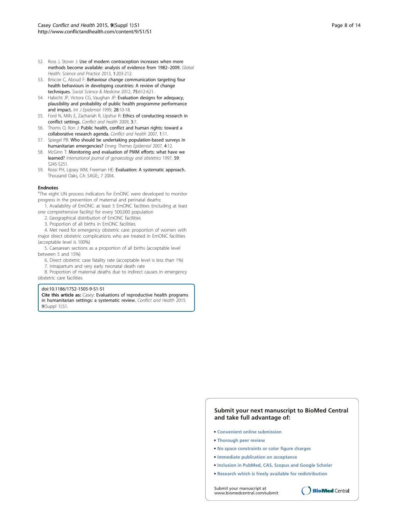- <span id="page-7-0"></span>52. Ross J, Stover J: [Use of modern contraception increases when more](http://www.ncbi.nlm.nih.gov/pubmed/25276533?dopt=Abstract) [methods become available: analysis of evidence from 1982](http://www.ncbi.nlm.nih.gov/pubmed/25276533?dopt=Abstract)–2009. Global Health: Science and Practice 2013, 1:203-212.
- 53. Briscoe C, Aboud F: [Behaviour change communication targeting four](http://www.ncbi.nlm.nih.gov/pubmed/22541798?dopt=Abstract) [health behaviours in developing countries: A review of change](http://www.ncbi.nlm.nih.gov/pubmed/22541798?dopt=Abstract) [techniques.](http://www.ncbi.nlm.nih.gov/pubmed/22541798?dopt=Abstract) Social Science & Medicine 2012, 75:612-621.
- 54. Habicht JP, Victora CG, Vaughan JP: [Evaluation designs for adequacy,](http://www.ncbi.nlm.nih.gov/pubmed/10195658?dopt=Abstract) [plausibility and probability of public health programme performance](http://www.ncbi.nlm.nih.gov/pubmed/10195658?dopt=Abstract) [and impact.](http://www.ncbi.nlm.nih.gov/pubmed/10195658?dopt=Abstract) Int J Epidemiol 1999, 28:10-18.
- 55. Ford N, Mills E, Zachariah R, Upshur R: [Ethics of conducting research in](http://www.ncbi.nlm.nih.gov/pubmed/19591691?dopt=Abstract) [conflict settings.](http://www.ncbi.nlm.nih.gov/pubmed/19591691?dopt=Abstract) Conflict and health 2009, 3:7.
- 56. Thoms O, Ron J: [Public health, conflict and human rights: toward a](http://www.ncbi.nlm.nih.gov/pubmed/18005430?dopt=Abstract) [collaborative research agenda.](http://www.ncbi.nlm.nih.gov/pubmed/18005430?dopt=Abstract) Conflict and health 2007, 1:11
- 57. Spiegel PB: [Who should be undertaking population-based surveys in](http://www.ncbi.nlm.nih.gov/pubmed/17543107?dopt=Abstract) [humanitarian emergencies?](http://www.ncbi.nlm.nih.gov/pubmed/17543107?dopt=Abstract) Emerg Themes Epidemiol 2007, 4:12.
- 58. McGinn T: [Monitoring and evaluation of PMM efforts: what have we](http://www.ncbi.nlm.nih.gov/pubmed/9389638?dopt=Abstract) [learned?](http://www.ncbi.nlm.nih.gov/pubmed/9389638?dopt=Abstract) International journal of gynaecology and obstetrics 1997, 59: S245-S251.
- 59. Rossi PH, Lipsey WM, Freeman HE: Evaluation: A systematic approach. Thousand Oaks, CA: SAGE;, 7 2004.

#### Endnotes

<sup>a</sup>The eight UN process indicators for EmONC were developed to monitor progress in the prevention of maternal and perinatal deaths:

- 1. Availability of EmONC: at least 5 EmONC facilities (including at least one comprehensive facility) for every 500,000 population
- 2. Geographical distribution of EmONC facilities
- 3. Proportion of all births in EmONC facilities

4. Met need for emergency obstetric care: proportion of women with major direct obstetric complications who are treated in EmONC facilities (acceptable level is 100%)

- 5. Caesarean sections as a proportion of all births (acceptable level between 5 and 15%)
- 6. Direct obstetric case fatality rate (acceptable level is less than 1%) 7. Intrapartum and very early neonatal death rate
- 8. Proportion of maternal deaths due to indirect causes in emergency obstetric care facilities

#### doi:10.1186/1752-1505-9-S1-S1

Cite this article as: Casey: Evaluations of reproductive health programs in humanitarian settings: a systematic review. Conflict and Health 2015 9(Suppl 1):S1.

## **Submit your next manuscript to BioMed Central and take full advantage of:**

- **Convenient online submission**
- **Thorough peer review**
- **No space constraints or color figure charges**
- **Immediate publication on acceptance**
- **Inclusion in PubMed, CAS, Scopus and Google Scholar**
- **Research which is freely available for redistribution**

BioMed Central

Submit your manuscript at www.biomedcentral.com/submit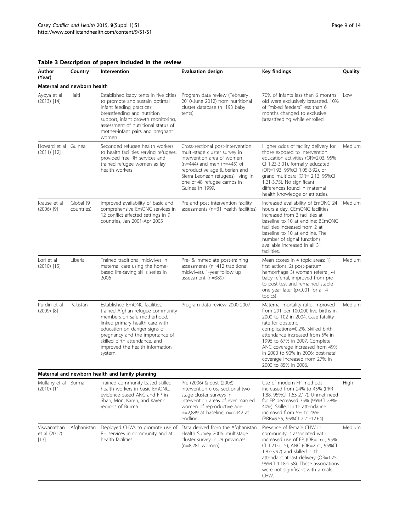| Author<br>(Year)                        | Country                 | Intervention                                                                                                                                                                                                                                                                          | <b>Evaluation design</b>                                                                                                                                                                                                                                    | Key findings                                                                                                                                                                                                                                                                                                                                                                     | Quality |
|-----------------------------------------|-------------------------|---------------------------------------------------------------------------------------------------------------------------------------------------------------------------------------------------------------------------------------------------------------------------------------|-------------------------------------------------------------------------------------------------------------------------------------------------------------------------------------------------------------------------------------------------------------|----------------------------------------------------------------------------------------------------------------------------------------------------------------------------------------------------------------------------------------------------------------------------------------------------------------------------------------------------------------------------------|---------|
| Maternal and newborn health             |                         |                                                                                                                                                                                                                                                                                       |                                                                                                                                                                                                                                                             |                                                                                                                                                                                                                                                                                                                                                                                  |         |
| Ayoya et al<br>$(2013)$ [14]            | Haiti                   | Established baby tents in five cities<br>to promote and sustain optimal<br>infant feeding practices:<br>breastfeeding and nutrition<br>support, infant growth monitoring,<br>assessment of nutritional status of<br>mother-infant pairs and pregnant<br>women                         | Program data review (February<br>2010-June 2012) from nutritional<br>cluster database (n=193 baby<br>tents)                                                                                                                                                 | 70% of infants less than 6 months<br>old were exclusively breastfed. 10%<br>of "mixed feeders" less than 6<br>months changed to exclusive<br>breastfeeding while enrolled.                                                                                                                                                                                                       | Low     |
| Howard et al Guinea<br>$(2011)^{1}[12]$ |                         | Seconded refugee health workers<br>to health facilities serving refugees,<br>provided free RH services and<br>trained refugee women as lay<br>health workers                                                                                                                          | Cross-sectional post-intervention<br>multi-stage cluster survey in<br>intervention area of women<br>$(n=444)$ and men $(n=445)$ of<br>reproductive age (Liberian and<br>Sierra Leonean refugees) living in<br>one of 48 refugee camps in<br>Guinea in 1999. | Higher odds of facility delivery for<br>those exposed to intervention<br>education activities (OR=2.03, 95%<br>CI 1.23-3.01), formally educated<br>(OR=1.93, 95%Cl 1.05-3.92), or<br>grand multipara (OR= 2.13, 95%Cl<br>1.21-3.75). No significant<br>differences found in maternal<br>health knowledge or attitudes.                                                           | Medium  |
| Krause et al<br>$(2006)$ [9]            | Global (9<br>countries) | Improved availability of basic and<br>comprehensive EmONC services in<br>12 conflict affected settings in 9<br>countries, Jan 2001-Apr 2005                                                                                                                                           | Pre and post intervention facility<br>assessments (n=31 health facilities)                                                                                                                                                                                  | Increased availability of EmONC 24<br>hours a day. CEmONC facilities<br>increased from 3 facilities at<br>baseline to 10 at endline; BEmONC<br>facilities increased from 2 at<br>baseline to 10 at endline. The<br>number of signal functions<br>available increased in all 31<br>facilities.                                                                                    | Medium  |
| Lori et al<br>$(2010)$ [15]             | Liberia                 | Trained traditional midwives in<br>maternal care using the home-<br>based life-saving skills series in<br>2006                                                                                                                                                                        | Pre- & immediate post-training<br>assessments (n=412 traditional<br>midwives), 1-year follow up<br>assessment (n=389)                                                                                                                                       | Mean scores in 4 topic areas: 1)<br>first actions, 2) post-partum<br>hemorrhage 3) woman referral, 4)<br>baby referral, improved from pre-<br>to post-test and remained stable<br>one year later (p<.001 for all 4<br>topics)                                                                                                                                                    | Medium  |
| Purdin et al<br>$(2009)$ $[8]$          | Pakistan                | Established EmONC facilities,<br>trained Afghan refugee community<br>members on safe motherhood,<br>linked primary health care with<br>education on danger signs of<br>pregnancy and the importance of<br>skilled birth attendance, and<br>improved the health information<br>system. | Program data review 2000-2007                                                                                                                                                                                                                               | Maternal mortality ratio improved<br>from 291 per 100,000 live births in<br>2000 to 102 in 2004. Case fatality<br>rate for obstetric<br>complications=0.2%. Skilled birth<br>attendance increased from 5% in<br>1996 to 67% in 2007. Complete<br>ANC coverage increased from 49%<br>in 2000 to 90% in 2006; post-natal<br>coverage increased from 27% in<br>2000 to 85% in 2006. | Medium  |
|                                         |                         | Maternal and newborn health and family planning                                                                                                                                                                                                                                       |                                                                                                                                                                                                                                                             |                                                                                                                                                                                                                                                                                                                                                                                  |         |
| Mullany et al Burma<br>$(2010)$ [11]    |                         | Trained community-based skilled<br>health workers in basic EmONC,<br>evidence-based ANC and FP in<br>Shan, Mon, Karen, and Karenni<br>regions of Burma                                                                                                                                | Pre (2006) & post (2008)<br>intervention cross-sectional two-<br>stage cluster surveys in<br>intervention areas of ever married<br>women of reproductive age:<br>n=2,889 at baseline, n=2,442 at<br>endline                                                 | Use of modern FP methods<br>increased from 24% to 45% (PRR<br>1.88, 95%Cl 1.63-2.17). Unmet need<br>for FP decreased 35% (95%Cl 28%-<br>40%). Skilled birth attendance<br>increased from 5% to 49%<br>(PRR=9.55, 95%Cl 7.21-12.64).                                                                                                                                              | High    |
| Viswanathan<br>et al (2012)<br>$[13]$   | Afghanistan             | Deployed CHWs to promote use of<br>RH services in community and at<br>health facilities                                                                                                                                                                                               | Data derived from the Afghanistan<br>Health Survey 2006: multistage<br>cluster survey in 29 provinces<br>$(n=8,281$ women)                                                                                                                                  | Presence of female CHW in<br>community is associated with<br>increased use of FP (OR=1.61, 95%<br>CI 1.21-2.15), ANC (OR=2.71, 95%CI<br>1.87-3.92) and skilled birth<br>attendant at last delivery (OR=1.75,<br>95%Cl 1.18-2.58). These associations<br>were not significant with a male<br>CHW.                                                                                 | Medium  |

## <span id="page-8-0"></span>Table 3 Description of papers included in the review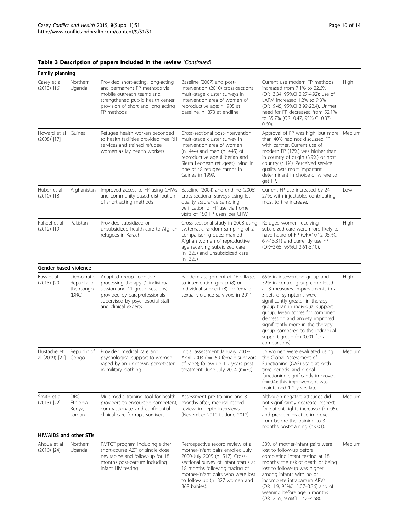| <b>Family planning</b>                 |                                                 |                                                                                                                                                                                            |                                                                                                                                                                                                                                                                           |                                                                                                                                                                                                                                                                                                                                                                                                             |        |
|----------------------------------------|-------------------------------------------------|--------------------------------------------------------------------------------------------------------------------------------------------------------------------------------------------|---------------------------------------------------------------------------------------------------------------------------------------------------------------------------------------------------------------------------------------------------------------------------|-------------------------------------------------------------------------------------------------------------------------------------------------------------------------------------------------------------------------------------------------------------------------------------------------------------------------------------------------------------------------------------------------------------|--------|
| Casey et al<br>$(2013)$ [16]           | Northern<br>Uganda                              | Provided short-acting, long-acting<br>and permanent FP methods via<br>mobile outreach teams and<br>strengthened public health center<br>provision of short and long acting<br>FP methods   | Baseline (2007) and post-<br>intervention (2010) cross-sectional<br>multi-stage cluster surveys in<br>intervention area of women of<br>reproductive age: n=905 at<br>baseline, n=873 at endline                                                                           | Current use modern FP methods<br>increased from 7.1% to 22.6%<br>(OR=3.34, 95%Cl 2.27-4.92); use of<br>LAPM increased 1.2% to 9.8%<br>(OR=9.45, 95%CI 3.99-22.4). Unmet<br>need for FP decreased from 52.1%<br>to 35.7% (OR=0.47, 95% CI 0.37-<br>$0.60$ ).                                                                                                                                                 | High   |
| Howard et al Guinea<br>$(2008)^1$ [17] |                                                 | Refugee health workers seconded<br>to health facilities provided free RH<br>services and trained refugee<br>women as lay health workers                                                    | Cross-sectional post-intervention<br>multi-stage cluster survey in<br>intervention area of women<br>$(n=444)$ and men $(n=445)$ of<br>reproductive age (Liberian and<br>Sierra Leonean refugees) living in<br>one of 48 refugee camps in<br>Guinea in 1999.               | Approval of FP was high, but more Medium<br>than 40% had not discussed FP<br>with partner. Current use of<br>modern FP (17%) was higher than<br>in country of origin (3.9%) or host<br>country (4.1%). Perceived service<br>quality was most important<br>determinant in choice of where to<br>get FP.                                                                                                      |        |
| Huber et al<br>$(2010)$ [18]           | Afghanistan                                     | Improved access to FP using CHWs<br>and community-based distribution<br>of short acting methods                                                                                            | Baseline (2004) and endline (2006)<br>cross-sectional surveys using lot<br>quality assurance sampling;<br>verification of FP use via home<br>visits of 150 FP users per CHW                                                                                               | Current FP use increased by 24-<br>27%, with injectables contributing<br>most to the increase.                                                                                                                                                                                                                                                                                                              | Low    |
| Raheel et al<br>$(2012)$ [19]          | Pakistan                                        | Provided subsidized or<br>unsubsidized health care to Afghan<br>refugees in Karachi                                                                                                        | Cross-sectional study in 2008 using<br>systematic random sampling of 2<br>comparison groups: married<br>Afghan women of reproductive<br>age receiving subsidized care<br>(n=325) and unsubsidized care<br>$(n=325)$                                                       | Refugee women receiving<br>subsidized care were more likely to<br>have heard of FP (OR=10.12 95%CI<br>6.7-15.31) and currently use FP<br>(OR=3.65, 95%Cl 2.61-5.10).                                                                                                                                                                                                                                        | High   |
| Gender-based violence                  |                                                 |                                                                                                                                                                                            |                                                                                                                                                                                                                                                                           |                                                                                                                                                                                                                                                                                                                                                                                                             |        |
| Bass et al<br>$(2013)$ $[20]$          | Democratic<br>Republic of<br>the Congo<br>(DRC) | Adapted group cognitive<br>processing therapy (1 individual<br>session and 11 group sessions)<br>provided by paraprofessionals<br>supervised by psychosocial staff<br>and clinical experts | Random assignment of 16 villages<br>to intervention group (8) or<br>individual support (8) for female<br>sexual violence survivors in 2011                                                                                                                                | 65% in intervention group and<br>52% in control group completed<br>all 3 measures. Improvements in all<br>3 sets of symptoms were<br>significantly greater in therapy<br>group than in individual support<br>group. Mean scores for combined<br>depression and anxiety improved<br>significantly more in the therapy<br>group compared to the individual<br>support group (p<0.001 for all<br>comparisons). | High   |
| Hustache et<br>al (2009) [21]          | Republic of<br>Congo                            | Provided medical care and<br>psychological support to women<br>raped by an unknown perpetrator<br>in military clothing                                                                     | Initial assessment January 2002-<br>April 2003 (n=159 female survivors<br>of rape); follow-up 1-2 years post-<br>treatment, June-July 2004 (n=70)                                                                                                                         | 56 women were evaluated using<br>the Global Assessment of<br>Functioning (GAF) scale at both<br>time periods, and global<br>functioning significantly improved<br>$(p=.04)$ ; this improvement was<br>maintained 1-2 years later                                                                                                                                                                            | Medium |
| Smith et al<br>$(2013)$ $[22]$         | DRC,<br>Ethiopia,<br>Kenya,<br>Jordan           | Multimedia training tool for health<br>providers to encourage competent,<br>compassionate, and confidential<br>clinical care for rape survivors                                            | Assessment pre-training and 3<br>months after, medical record<br>review, in-depth interviews<br>(November 2010 to June 2012)                                                                                                                                              | Although negative attitudes did<br>not significantly decrease, respect<br>for patient rights increased (p<.05),<br>and provider practice improved<br>from before the training to 3<br>months post-training $(p<.01)$ .                                                                                                                                                                                      | Medium |
| HIV/AIDS and other STIs                |                                                 |                                                                                                                                                                                            |                                                                                                                                                                                                                                                                           |                                                                                                                                                                                                                                                                                                                                                                                                             |        |
| Ahoua et al<br>$(2010)$ $[24]$         | Northern<br>Uganda                              | PMTCT program including either<br>short-course AZT or single dose<br>nevirapine and follow-up for 18<br>months post-partum including<br>infant HIV testing                                 | Retrospective record review of all<br>mother-infant pairs enrolled July<br>2000-July 2005 (n=517). Cross-<br>sectional survey of infant status at<br>18 months following tracing of<br>mother-infant pairs who were lost<br>to follow up (n=327 women and<br>368 babies). | 53% of mother-infant pairs were<br>lost to follow-up before<br>completing infant testing at 18<br>months; the risk of death or being<br>lost to follow-up was higher<br>among infants with no or<br>incomplete intrapartum ARVs<br>(OR=1.9, 95%Cl 1.07-3.36) and of<br>weaning before age 6 months<br>(OR=2.55, 95%Cl 1.42-4.58).                                                                           | Medium |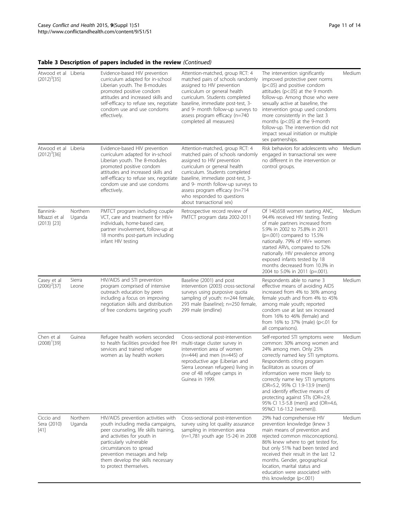## Table 3 Description of papers included in the review (Continued)

| Atwood et al Liberia<br>$(2012)^{3}[35]$    |                    | Evidence-based HIV prevention<br>curriculum adapted for in-school<br>Liberian youth. The 8-modules<br>promoted positive condom<br>attitudes and increased skills and<br>self-efficacy to refuse sex, negotiate<br>condom use and use condoms<br>effectively.                                          | Attention-matched, group RCT: 4<br>matched pairs of schools randomly<br>assigned to HIV prevention<br>curriculum or general health<br>curriculum. Students completed<br>baseline, immediate post-test, 3-<br>and 9- month follow-up surveys to<br>assess program efficacy (n=740<br>completed all measures)                                | The intervention significantly<br>improved protective peer norms<br>(p<.05) and positive condom<br>attitudes (p<.05) at the 9 month<br>follow-up. Among those who were<br>sexually active at baseline, the<br>intervention group used condoms<br>more consistently in the last 3<br>months ( $p<0.05$ ) at the 9-month<br>follow-up. The intervention did not<br>impact sexual initiation or multiple<br>sex partnerships.                   | Medium |
|---------------------------------------------|--------------------|-------------------------------------------------------------------------------------------------------------------------------------------------------------------------------------------------------------------------------------------------------------------------------------------------------|--------------------------------------------------------------------------------------------------------------------------------------------------------------------------------------------------------------------------------------------------------------------------------------------------------------------------------------------|----------------------------------------------------------------------------------------------------------------------------------------------------------------------------------------------------------------------------------------------------------------------------------------------------------------------------------------------------------------------------------------------------------------------------------------------|--------|
| Atwood et al Liberia<br>$(2012)^{3}[36]$    |                    | Evidence-based HIV prevention<br>curriculum adapted for in-school<br>Liberian youth. The 8-modules<br>promoted positive condom<br>attitudes and increased skills and<br>self-efficacy to refuse sex, negotiate<br>condom use and use condoms<br>effectively.                                          | Attention-matched, group RCT: 4<br>matched pairs of schools randomly<br>assigned to HIV prevention<br>curriculum or general health<br>curriculum. Students completed<br>baseline, immediate post-test, 3-<br>and 9- month follow-up surveys to<br>assess program efficacy (n=714<br>who responded to questions<br>about transactional sex) | Risk behaviors for adolescents who<br>engaged in transactional sex were<br>no different in the intervention or<br>control groups.                                                                                                                                                                                                                                                                                                            | Medium |
| Bannink-<br>Mbazzi et al<br>$(2013)$ $[23]$ | Northern<br>Uganda | PMTCT program including couple<br>VCT, care and treatment for HIV+<br>individuals, home-based care,<br>partner involvement, follow-up at<br>18 months post-partum including<br>infant HIV testing                                                                                                     | Retrospective record review of<br>PMTCT program data 2002-2011                                                                                                                                                                                                                                                                             | Of 140,658 women starting ANC,<br>94.4% received HIV testing. Testing<br>of male partners increased from<br>5.9% in 2002 to 75.8% in 2011<br>(p=.001) compared to 15.5%<br>nationally. 79% of HIV+ women<br>started ARVs, compared to 52%<br>nationally. HIV prevalence among<br>exposed infants tested by 18<br>months decreased from 10.3% in<br>2004 to 5.0% in 2011 (p=.001).                                                            | Medium |
| Casey et al<br>$(2006)^2[37]$               | Sierra<br>Leone    | HIV/AIDS and STI prevention<br>program comprised of intensive<br>outreach education by peers<br>including a focus on improving<br>negotiation skills and distribution<br>of free condoms targeting youth                                                                                              | Baseline (2001) and post<br>intervention (2003) cross-sectional<br>surveys using purposive quota<br>sampling of youth: n=244 female,<br>293 male (baseline); n=250 female,<br>299 male (endline)                                                                                                                                           | Respondents able to name 3<br>effective means of avoiding AIDS<br>increased from 4% to 36% among<br>female youth and from 4% to 45%<br>among male youth; reported<br>condom use at last sex increased<br>from 16% to 46% (female) and<br>from 16% to 37% (male) ( $p<.01$ for<br>all comparisons).                                                                                                                                           | Medium |
| Chen et al<br>$(2008)^{1}[39]$              | Guinea             | Refugee health workers seconded<br>to health facilities provided free RH<br>services and trained refugee<br>women as lay health workers                                                                                                                                                               | Cross-sectional post-intervention<br>multi-stage cluster survey in<br>intervention area of women<br>$(n=444)$ and men $(n=445)$ of<br>reproductive age (Liberian and<br>Sierra Leonean refugees) living in<br>one of 48 refugee camps in<br>Guinea in 1999.                                                                                | Self-reported STI symptoms were<br>common: 30% among women and<br>24% among men. Only 25%<br>correctly named key STI symptoms.<br>Respondents citing program<br>facilitators as sources of<br>information were more likely to<br>correctly name key STI symptoms<br>(OR=5.2, 95% CI 1.9-13.9 (men))<br>and identify effective means of<br>protecting against STIs (OR=2.9,<br>95% CI 1.5-5.8 (men)) and (OR=4.6,<br>95%Cl 1.6-13.2 (women)). | Medium |
| Ciccio and<br>Sera (2010)<br>[41]           | Northern<br>Uganda | HIV/AIDS prevention activities with<br>youth including media campaigns,<br>peer counseling, life skills training,<br>and activities for youth in<br>particularly vulnerable<br>circumstances to spread<br>prevention messages and help<br>them develop the skills necessary<br>to protect themselves. | Cross-sectional post-intervention<br>survey using lot quality assurance<br>sampling in intervention area<br>(n=1,781 youth age 15-24) in 2008                                                                                                                                                                                              | 29% had comprehensive HIV<br>prevention knowledge (knew 3<br>main means of prevention and<br>rejected common misconceptions).<br>86% knew where to get tested for,<br>but only 51% had been tested and<br>received their result in the last 12<br>months. Gender, geographical<br>location, marital status and<br>education were associated with<br>this knowledge (p<.001)                                                                  | Medium |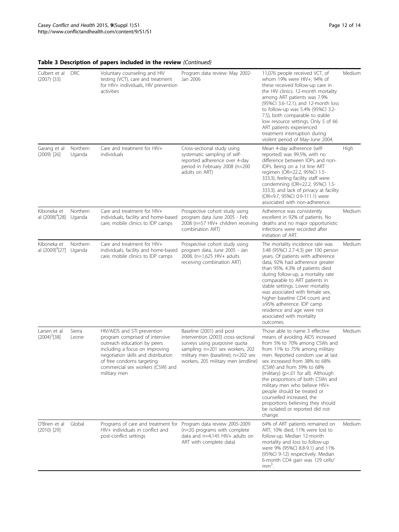| Culbert et al DRC<br>$(2007)$ [33]         |                    | Voluntary counseling and HIV<br>testing (VCT), care and treatment<br>for HIV+ individuals, HIV prevention<br>activities                                                                                                                                | Program data review: May 2002-<br>Jan 2006                                                                                                                                                                        | 11,076 people received VCT, of<br>whom 19% were HIV+; 94% of<br>these received follow-up care in<br>the HIV clinics. 12-month mortality<br>among ART patients was 7.9%<br>(95%Cl 3.6-12.1), and 12-month loss<br>to follow-up was 5.4% (95%Cl 3.2-<br>7.5), both comparable to stable<br>low resource settings. Only 5 of 66<br>ART patients experienced<br>treatment interruption during<br>violent period of May-June 2004.                                                                       | Medium |
|--------------------------------------------|--------------------|--------------------------------------------------------------------------------------------------------------------------------------------------------------------------------------------------------------------------------------------------------|-------------------------------------------------------------------------------------------------------------------------------------------------------------------------------------------------------------------|-----------------------------------------------------------------------------------------------------------------------------------------------------------------------------------------------------------------------------------------------------------------------------------------------------------------------------------------------------------------------------------------------------------------------------------------------------------------------------------------------------|--------|
| Garang et al<br>$(2009)$ $[26]$            | Northern<br>Uganda | Care and treatment for HIV+<br>individuals                                                                                                                                                                                                             | Cross-sectional study using<br>systematic sampling of self-<br>reported adherence over 4-day<br>period in February 2008 (n=200<br>adults on ART)                                                                  | Mean 4-day adherence (self-<br>reported) was 99.5%, with no<br>difference between IDPs and non-<br>IDPs. Being on a 1st line ART<br>regimen (OR=22.2, 95%Cl 1.5-<br>333.3), feeling facility staff were<br>condemning (OR=22.2, 95%Cl 1.5-<br>333.3), and lack of privacy at facility<br>(OR=9.7, 95%Cl 0.9-111.1) were<br>associated with non-adherence.                                                                                                                                           | High   |
| Kiboneka et<br>al $(2008)^4[28]$           | Northern<br>Uganda | Care and treatment for HIV+<br>individuals, facility and home-based<br>care, mobile clinics to IDP camps                                                                                                                                               | Prospective cohort study using<br>program data June 2005 - Feb<br>2008 (n=57 HIV+ children receiving<br>combination ART)                                                                                          | Adherence was consistently<br>excellent in 92% of patients. No<br>deaths and no major opportunistic<br>infections were recorded after<br>initiation of ART.                                                                                                                                                                                                                                                                                                                                         | Medium |
| Kiboneka et<br>al (2009) <sup>4</sup> [27] | Northern<br>Uganda | Care and treatment for HIV+<br>individuals, facility and home-based<br>care, mobile clinics to IDP camps                                                                                                                                               | Prospective cohort study using<br>program data, June 2005 - Jan<br>2008, (n=1,625 HIV+ adults<br>receiving combination ART)                                                                                       | The mortality incidence rate was<br>3.48 (95%Cl 2.7-4.3) per 100 person<br>years. Of patients with adherence<br>data, 92% had adherence greater<br>than 95%. 4.3% of patients died<br>during follow-up, a mortality rate<br>comparable to ART patients in<br>stable settings. Lower mortality<br>was associated with female sex,<br>higher baseline CD4 count and<br>$\geq$ 95% adherence. IDP camp<br>residence and age were not<br>associated with mortality<br>outcomes.                         | Medium |
| Larsen et al<br>$(2004)^2$ [38]            | Sierra<br>Leone    | HIV/AIDS and STI prevention<br>program comprised of intensive<br>outreach education by peers<br>including a focus on improving<br>negotiation skills and distribution<br>of free condoms targeting<br>commercial sex workers (CSW) and<br>military men | Baseline (2001) and post<br>intervention (2003) cross-sectional<br>surveys using purposive quota<br>sampling: n=201 sex workers, 202<br>military men (baseline); n=202 sex<br>workers, 205 military men (endline) | Those able to name 3 effective<br>means of avoiding AIDS increased<br>from 5% to 70% among CSWs and<br>from 11% to 75% among military<br>men. Reported condom use at last<br>sex increased from 38% to 68%<br>(CSW) and from 39% to 68%<br>(military) (p<.01 for all). Although<br>the proportions of both CSWs and<br>military men who believe HIV+<br>people should be treated or<br>counselled increased, the<br>proportions believing they should<br>be isolated or reported did not<br>change. | Medium |
| O'Brien et al<br>$(2010)$ [29]             | Global             | Programs of care and treatment for Program data review 2005-2009<br>HIV+ individuals in conflict and<br>post-conflict settings                                                                                                                         | (n=20 programs with complete<br>data and $n=4,145$ HIV+ adults on<br>ART with complete data)                                                                                                                      | 64% of ART patients remained on<br>ART, 10% died, 11% were lost to<br>follow-up. Median 12-month<br>mortality and loss to follow-up<br>were 9% (95%Cl 8.8-9.1) and 11%<br>(95%Cl 9-12) respectively. Median<br>6-month CD4 gain was 129 cells/<br>$mm3$ .                                                                                                                                                                                                                                           | Medium |

## Table 3 Description of papers included in the review (Continued)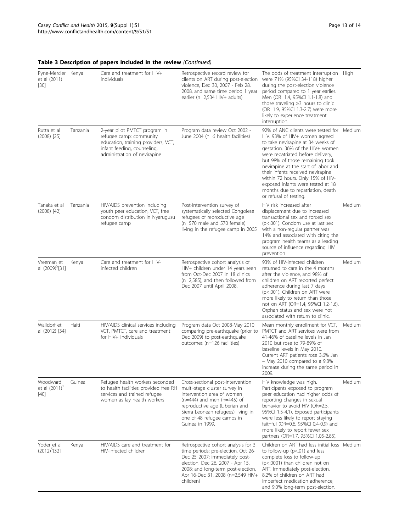| Pyne-Mercier Kenya<br>et al (2011)<br>[30] |          | Care and treatment for HIV+<br>individuals                                                                                                                     | Retrospective record review for<br>clients on ART during post-election<br>violence, Dec 30, 2007 - Feb 28,<br>2008, and same time period 1 year<br>earlier (n=2,534 HIV+ adults)                                                                            | The odds of treatment interruption High<br>were 71% (95%Cl 34-118) higher<br>during the post-election violence<br>period compared to 1 year earlier.<br>Men (OR=1.4, 95%Cl 1.1-1.8) and<br>those traveling $\geq$ 3 hours to clinic<br>(OR=1.9, 95%Cl 1.3-2.7) were more<br>likely to experience treatment<br>interruption.                                                                                                                       |        |
|--------------------------------------------|----------|----------------------------------------------------------------------------------------------------------------------------------------------------------------|-------------------------------------------------------------------------------------------------------------------------------------------------------------------------------------------------------------------------------------------------------------|---------------------------------------------------------------------------------------------------------------------------------------------------------------------------------------------------------------------------------------------------------------------------------------------------------------------------------------------------------------------------------------------------------------------------------------------------|--------|
| Rutta et al<br>$(2008)$ [25]               | Tanzania | 2-year pilot PMTCT program in<br>refugee camp: community<br>education, training providers, VCT,<br>infant feeding, counseling,<br>administration of nevirapine | Program data review Oct 2002 -<br>June 2004 (n=6 health facilities)                                                                                                                                                                                         | 92% of ANC clients were tested for Medium<br>HIV. 93% of HIV+ women agreed<br>to take nevirapine at 34 weeks of<br>gestation. 36% of the HIV+ women<br>were repatriated before delivery,<br>but 98% of those remaining took<br>nevirapine at the start of labor and<br>their infants received nevirapine<br>within 72 hours. Only 15% of HIV-<br>exposed infants were tested at 18<br>months due to repatriation, death<br>or refusal of testing. |        |
| Tanaka et al<br>$(2008)$ [42]              | Tanzania | HIV/AIDS prevention including<br>youth peer education, VCT, free<br>condom distribution in Nyarugusu<br>refugee camp                                           | Post-intervention survey of<br>systematically selected Congolese<br>refugees of reproductive age<br>(n=570 male and 570 female)<br>living in the refugee camp in 2005                                                                                       | HIV risk increased after<br>displacement due to increased<br>transactional sex and forced sex<br>(p<.001). Condom use at last sex<br>with a non-regular partner was<br>14% and associated with citing the<br>program health teams as a leading<br>source of influence regarding HIV<br>prevention                                                                                                                                                 | Medium |
| Vreeman et<br>al (2009) <sup>5</sup> [31]  | Kenya    | Care and treatment for HIV-<br>infected children                                                                                                               | Retrospective cohort analysis of<br>HIV+ children under 14 years seen<br>from Oct-Dec 2007 in 18 clinics<br>$(n=2,585)$ , and then followed from<br>Dec 2007 until April 2008.                                                                              | 93% of HIV-infected children<br>returned to care in the 4 months<br>after the violence, and 98% of<br>children on ART reported perfect<br>adherence during last 7 days<br>(p<.001). Children on ART were<br>more likely to return than those<br>not on ART (OR=1.4, 95%Cl 1.2-1.6).<br>Orphan status and sex were not<br>associated with return to clinic.                                                                                        | Medium |
| Walldorf et<br>al (2012) [34]              | Haiti    | HIV/AIDS clinical services including<br>VCT, PMTCT, care and treatment<br>for HIV+ individuals                                                                 | Program data Oct 2008-May 2010<br>comparing pre-earthquake (prior to<br>Dec 2009) to post-earthquake<br>outcomes (n=126 facilities)                                                                                                                         | Mean monthly enrollment for VCT,<br>PMTCT and ART services were from<br>41-46% of baseline levels in Jan<br>2010 but rose to 79-89% of<br>baseline levels in May 2010.<br>Current ART patients rose 3.6% Jan<br>- May 2010 compared to a 9.8%<br>increase during the same period in<br>2009.                                                                                                                                                      | Medium |
| Woodward<br>et al $(2011)^1$<br>[40]       | Guinea   | Refugee health workers seconded<br>to health facilities provided free RH<br>services and trained refugee<br>women as lay health workers                        | Cross-sectional post-intervention<br>multi-stage cluster survey in<br>intervention area of women<br>$(n=444)$ and men $(n=445)$ of<br>reproductive age (Liberian and<br>Sierra Leonean refugees) living in<br>one of 48 refugee camps in<br>Guinea in 1999. | HIV knowledge was high.<br>Participants exposed to program<br>peer education had higher odds of<br>reporting changes in sexual<br>behavior to avoid HIV (OR=2.5,<br>95%Cl 1.5-4.1). Exposed participants<br>were less likely to report staying<br>faithful (OR=0.6, 95%Cl 0.4-0.9) and<br>more likely to report fewer sex<br>partners (OR=1.7, 95%Cl 1.05-2.85).                                                                                  | Medium |
| Yoder et al<br>$(2012)^{5}[32]$            | Kenya    | HIV/AIDS care and treatment for<br>HIV-infected children                                                                                                       | Retrospective cohort analysis for 3<br>time periods: pre-election, Oct 26-<br>Dec 25 2007; immediately post-<br>election, Dec 26, 2007 - Apr 15,<br>2008; and long-term post-election,<br>Apr 16-Dec 31, 2008 (n=2,549 HIV+<br>children)                    | Children on ART had less initial loss Medium<br>to follow-up $(p<.01)$ and less<br>complete loss to follow-up<br>(p<.0001) than children not on<br>ART. Immediately post-election,<br>8.2% of children on ART had<br>imperfect medication adherence,<br>and 9.0% long-term post-election.                                                                                                                                                         |        |

## Table 3 Description of papers included in the review (Continued)